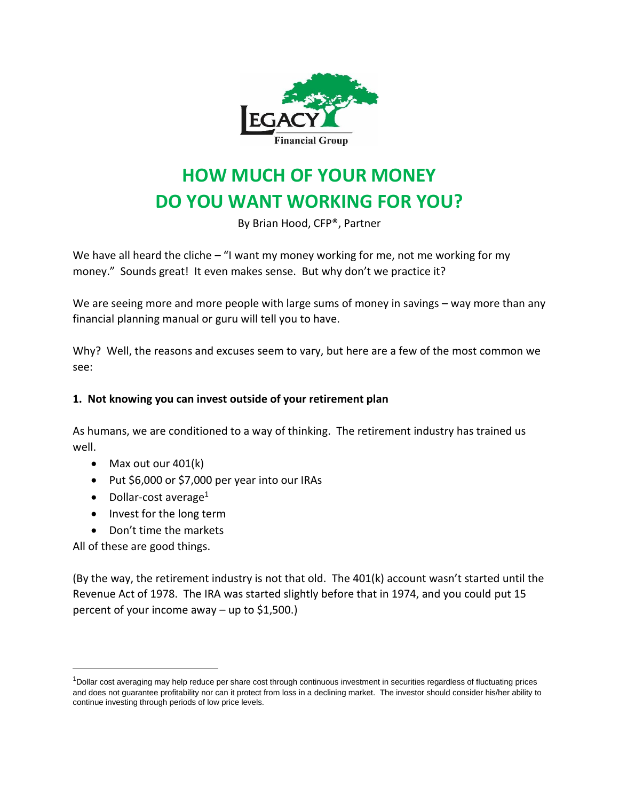

# **HOW MUCH OF YOUR MONEY DO YOU WANT WORKING FOR YOU?**

By Brian Hood, CFP®, Partner

We have all heard the cliche – "I want my money working for me, not me working for my money." Sounds great! It even makes sense. But why don't we practice it?

We are seeing more and more people with large sums of money in savings – way more than any financial planning manual or guru will tell you to have.

Why? Well, the reasons and excuses seem to vary, but here are a few of the most common we see:

# **1. Not knowing you can invest outside of your retirement plan**

As humans, we are conditioned to a way of thinking. The retirement industry has trained us well.

- Max out our 401(k)
- Put \$6,000 or \$7,000 per year into our IRAs
- Dollar-cost average<sup>1</sup>
- Invest for the long term
- Don't time the markets

All of these are good things.

(By the way, the retirement industry is not that old. The 401(k) account wasn't started until the Revenue Act of 1978. The IRA was started slightly before that in 1974, and you could put 15 percent of your income away – up to \$1,500.)

<sup>1</sup>Dollar cost averaging may help reduce per share cost through continuous investment in securities regardless of fluctuating prices and does not guarantee profitability nor can it protect from loss in a declining market. The investor should consider his/her ability to continue investing through periods of low price levels.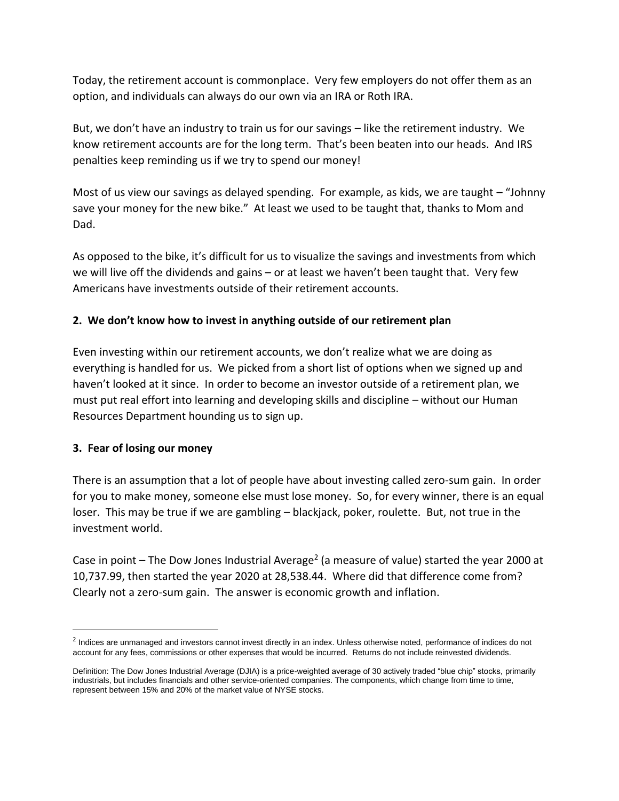Today, the retirement account is commonplace. Very few employers do not offer them as an option, and individuals can always do our own via an IRA or Roth IRA.

But, we don't have an industry to train us for our savings – like the retirement industry. We know retirement accounts are for the long term. That's been beaten into our heads. And IRS penalties keep reminding us if we try to spend our money!

Most of us view our savings as delayed spending. For example, as kids, we are taught – "Johnny save your money for the new bike." At least we used to be taught that, thanks to Mom and Dad.

As opposed to the bike, it's difficult for us to visualize the savings and investments from which we will live off the dividends and gains – or at least we haven't been taught that. Very few Americans have investments outside of their retirement accounts.

# **2. We don't know how to invest in anything outside of our retirement plan**

Even investing within our retirement accounts, we don't realize what we are doing as everything is handled for us. We picked from a short list of options when we signed up and haven't looked at it since. In order to become an investor outside of a retirement plan, we must put real effort into learning and developing skills and discipline – without our Human Resources Department hounding us to sign up.

## **3. Fear of losing our money**

There is an assumption that a lot of people have about investing called zero-sum gain. In order for you to make money, someone else must lose money. So, for every winner, there is an equal loser. This may be true if we are gambling – blackjack, poker, roulette. But, not true in the investment world.

Case in point  $-$  The Dow Jones Industrial Average<sup>2</sup> (a measure of value) started the year 2000 at 10,737.99, then started the year 2020 at 28,538.44. Where did that difference come from? Clearly not a zero-sum gain. The answer is economic growth and inflation.

<sup>&</sup>lt;sup>2</sup> Indices are unmanaged and investors cannot invest directly in an index. Unless otherwise noted, performance of indices do not account for any fees, commissions or other expenses that would be incurred. Returns do not include reinvested dividends.

Definition: The Dow Jones Industrial Average (DJIA) is a price-weighted average of 30 actively traded "blue chip" stocks, primarily industrials, but includes financials and other service-oriented companies. The components, which change from time to time, represent between 15% and 20% of the market value of NYSE stocks.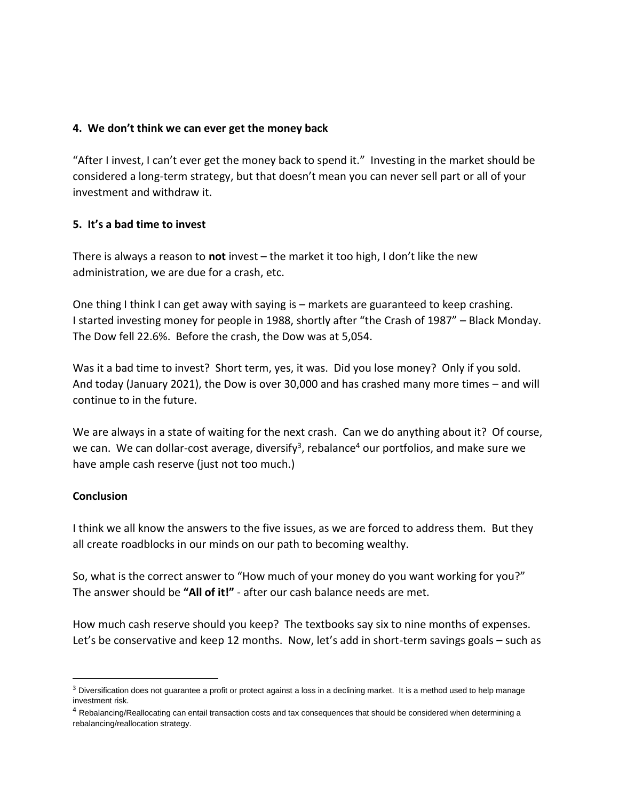#### **4. We don't think we can ever get the money back**

"After I invest, I can't ever get the money back to spend it." Investing in the market should be considered a long-term strategy, but that doesn't mean you can never sell part or all of your investment and withdraw it.

## **5. It's a bad time to invest**

There is always a reason to **not** invest – the market it too high, I don't like the new administration, we are due for a crash, etc.

One thing I think I can get away with saying is – markets are guaranteed to keep crashing. I started investing money for people in 1988, shortly after "the Crash of 1987" – Black Monday. The Dow fell 22.6%. Before the crash, the Dow was at 5,054.

Was it a bad time to invest? Short term, yes, it was. Did you lose money? Only if you sold. And today (January 2021), the Dow is over 30,000 and has crashed many more times – and will continue to in the future.

We are always in a state of waiting for the next crash. Can we do anything about it? Of course, we can. We can dollar-cost average, diversify<sup>3</sup>, rebalance<sup>4</sup> our portfolios, and make sure we have ample cash reserve (just not too much.)

#### **Conclusion**

I think we all know the answers to the five issues, as we are forced to address them. But they all create roadblocks in our minds on our path to becoming wealthy.

So, what is the correct answer to "How much of your money do you want working for you?" The answer should be **"All of it!"** - after our cash balance needs are met.

How much cash reserve should you keep? The textbooks say six to nine months of expenses. Let's be conservative and keep 12 months. Now, let's add in short-term savings goals – such as

<sup>&</sup>lt;sup>3</sup> Diversification does not guarantee a profit or protect against a loss in a declining market. It is a method used to help manage investment risk.

<sup>&</sup>lt;sup>4</sup> Rebalancing/Reallocating can entail transaction costs and tax consequences that should be considered when determining a rebalancing/reallocation strategy.